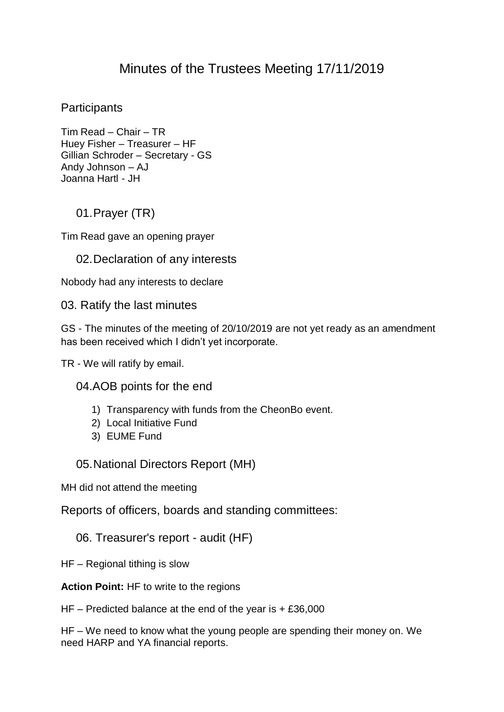# Minutes of the Trustees Meeting 17/11/2019

### **Participants**

Tim Read – Chair – TR Huey Fisher – Treasurer – HF Gillian Schroder – Secretary - GS Andy Johnson – AJ Joanna Hartl - JH

### 01.Prayer (TR)

Tim Read gave an opening prayer

### 02.Declaration of any interests

Nobody had any interests to declare

03. Ratify the last minutes

GS - The minutes of the meeting of 20/10/2019 are not yet ready as an amendment has been received which I didn't yet incorporate.

TR - We will ratify by email.

04.AOB points for the end

- 1) Transparency with funds from the CheonBo event.
- 2) Local Initiative Fund
- 3) EUME Fund

#### 05.National Directors Report (MH)

MH did not attend the meeting

Reports of officers, boards and standing committees:

#### 06. Treasurer's report - audit (HF)

HF – Regional tithing is slow

**Action Point:** HF to write to the regions

HF – Predicted balance at the end of the year is  $+ £36,000$ 

HF – We need to know what the young people are spending their money on. We need HARP and YA financial reports.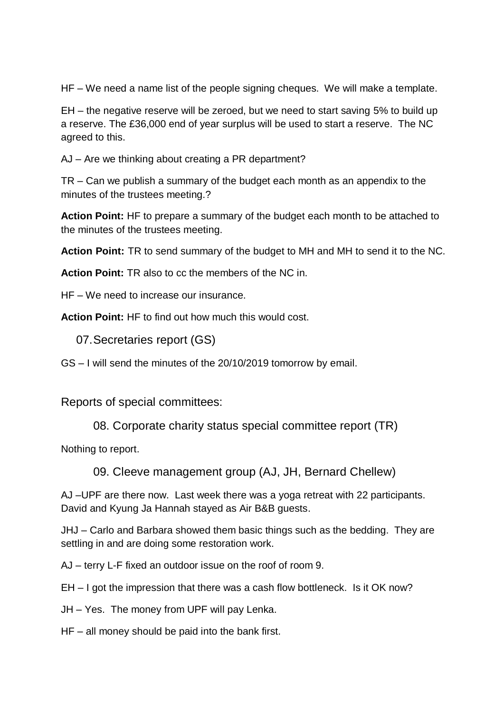HF – We need a name list of the people signing cheques. We will make a template.

EH – the negative reserve will be zeroed, but we need to start saving 5% to build up a reserve. The £36,000 end of year surplus will be used to start a reserve. The NC agreed to this.

AJ – Are we thinking about creating a PR department?

TR – Can we publish a summary of the budget each month as an appendix to the minutes of the trustees meeting.?

**Action Point:** HF to prepare a summary of the budget each month to be attached to the minutes of the trustees meeting.

**Action Point:** TR to send summary of the budget to MH and MH to send it to the NC.

**Action Point:** TR also to cc the members of the NC in.

HF – We need to increase our insurance.

**Action Point:** HF to find out how much this would cost.

07.Secretaries report (GS)

GS – I will send the minutes of the 20/10/2019 tomorrow by email.

Reports of special committees:

08. Corporate charity status special committee report (TR)

Nothing to report.

09. Cleeve management group (AJ, JH, Bernard Chellew)

AJ –UPF are there now. Last week there was a yoga retreat with 22 participants. David and Kyung Ja Hannah stayed as Air B&B guests.

JHJ – Carlo and Barbara showed them basic things such as the bedding. They are settling in and are doing some restoration work.

AJ – terry L-F fixed an outdoor issue on the roof of room 9.

EH – I got the impression that there was a cash flow bottleneck. Is it OK now?

JH – Yes. The money from UPF will pay Lenka.

HF – all money should be paid into the bank first.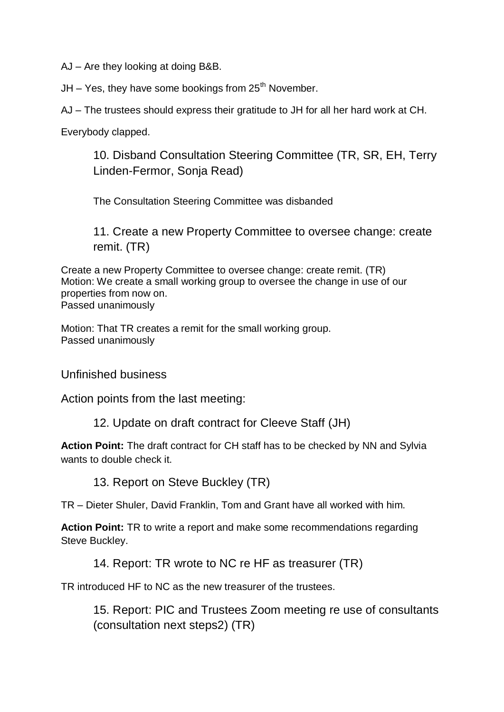AJ – Are they looking at doing B&B.

 $JH - Yes$ , they have some bookings from 25<sup>th</sup> November.

AJ – The trustees should express their gratitude to JH for all her hard work at CH.

Everybody clapped.

10. Disband Consultation Steering Committee (TR, SR, EH, Terry Linden-Fermor, Sonja Read)

The Consultation Steering Committee was disbanded

11. Create a new Property Committee to oversee change: create remit. (TR)

Create a new Property Committee to oversee change: create remit. (TR) Motion: We create a small working group to oversee the change in use of our properties from now on. Passed unanimously

Motion: That TR creates a remit for the small working group. Passed unanimously

Unfinished business

Action points from the last meeting:

12. Update on draft contract for Cleeve Staff (JH)

**Action Point:** The draft contract for CH staff has to be checked by NN and Sylvia wants to double check it.

13. Report on Steve Buckley (TR)

TR – Dieter Shuler, David Franklin, Tom and Grant have all worked with him.

**Action Point:** TR to write a report and make some recommendations regarding Steve Buckley.

14. Report: TR wrote to NC re HF as treasurer (TR)

TR introduced HF to NC as the new treasurer of the trustees.

15. Report: PIC and Trustees Zoom meeting re use of consultants (consultation next steps2) (TR)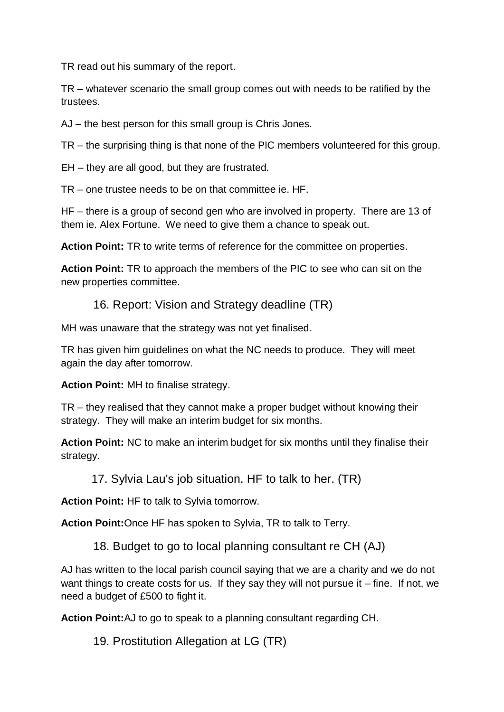TR read out his summary of the report.

TR – whatever scenario the small group comes out with needs to be ratified by the trustees.

AJ – the best person for this small group is Chris Jones.

TR – the surprising thing is that none of the PIC members volunteered for this group.

EH – they are all good, but they are frustrated.

TR – one trustee needs to be on that committee ie. HF.

HF – there is a group of second gen who are involved in property. There are 13 of them ie. Alex Fortune. We need to give them a chance to speak out.

**Action Point:** TR to write terms of reference for the committee on properties.

**Action Point:** TR to approach the members of the PIC to see who can sit on the new properties committee.

16. Report: Vision and Strategy deadline (TR)

MH was unaware that the strategy was not yet finalised.

TR has given him guidelines on what the NC needs to produce. They will meet again the day after tomorrow.

**Action Point:** MH to finalise strategy.

TR – they realised that they cannot make a proper budget without knowing their strategy. They will make an interim budget for six months.

**Action Point:** NC to make an interim budget for six months until they finalise their strategy.

17. Sylvia Lau's job situation. HF to talk to her. (TR)

**Action Point:** HF to talk to Sylvia tomorrow.

**Action Point:**Once HF has spoken to Sylvia, TR to talk to Terry.

18. Budget to go to local planning consultant re CH (AJ)

AJ has written to the local parish council saying that we are a charity and we do not want things to create costs for us. If they say they will not pursue it  $-$  fine. If not, we need a budget of £500 to fight it.

**Action Point:**AJ to go to speak to a planning consultant regarding CH.

19. Prostitution Allegation at LG (TR)